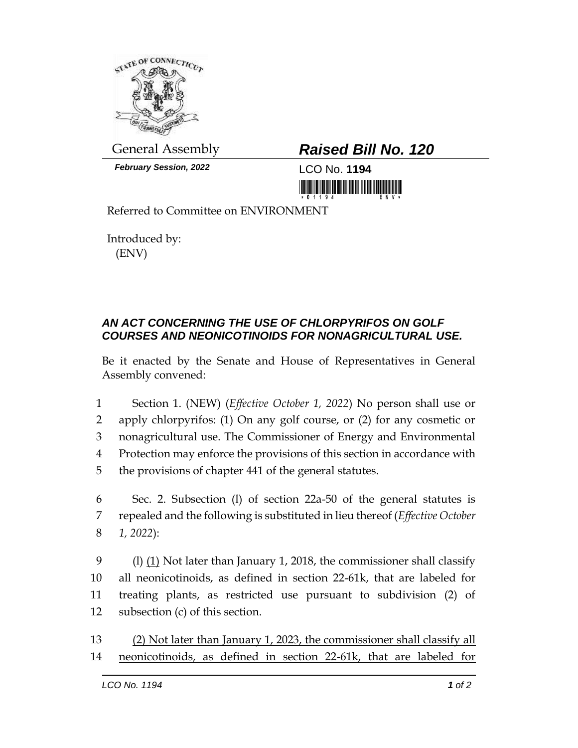

*February Session, 2022* LCO No. **1194**

## General Assembly *Raised Bill No. 120*

Referred to Committee on ENVIRONMENT

Introduced by: (ENV)

## *AN ACT CONCERNING THE USE OF CHLORPYRIFOS ON GOLF COURSES AND NEONICOTINOIDS FOR NONAGRICULTURAL USE.*

Be it enacted by the Senate and House of Representatives in General Assembly convened:

 Section 1. (NEW) (*Effective October 1, 2022*) No person shall use or apply chlorpyrifos: (1) On any golf course, or (2) for any cosmetic or nonagricultural use. The Commissioner of Energy and Environmental Protection may enforce the provisions of this section in accordance with the provisions of chapter 441 of the general statutes.

6 Sec. 2. Subsection (l) of section 22a-50 of the general statutes is 7 repealed and the following is substituted in lieu thereof (*Effective October*  8 *1, 2022*):

 (l) (1) Not later than January 1, 2018, the commissioner shall classify all neonicotinoids, as defined in section 22-61k, that are labeled for treating plants, as restricted use pursuant to subdivision (2) of subsection (c) of this section.

13 (2) Not later than January 1, 2023, the commissioner shall classify all 14 neonicotinoids, as defined in section 22-61k, that are labeled for